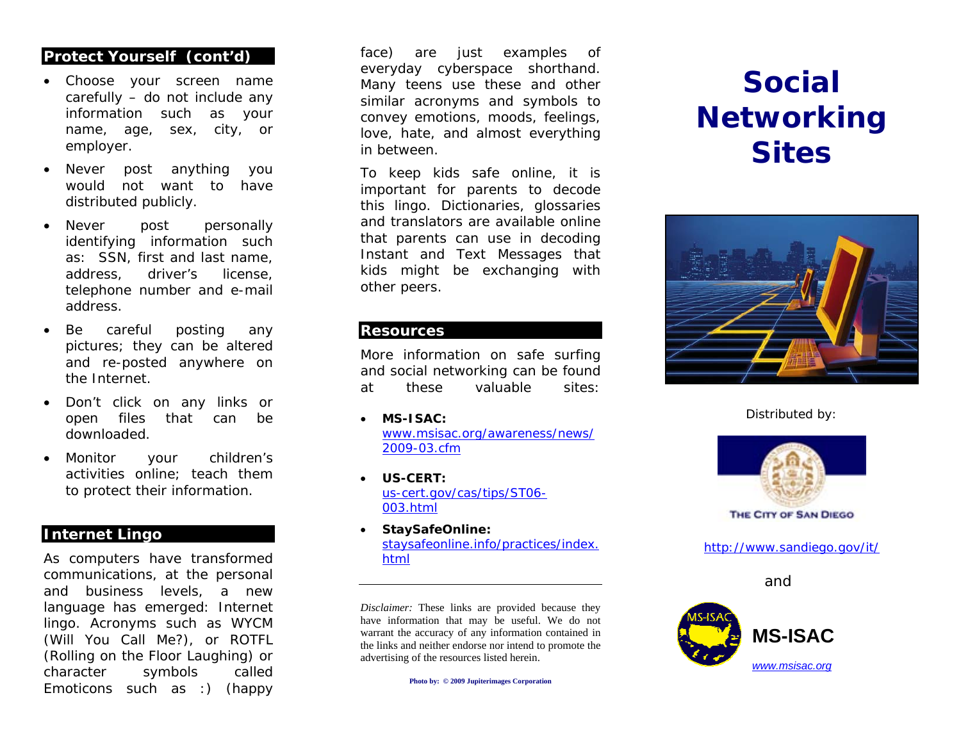## **Protect Yourself (cont'd)**

- Choose your screen name carefully – do not include any information such as your name, age, sex, city, or employer.
- • Never post anything you would not want to have distributed publicly.
- • Never post personally identifying information such as: SSN, first and last name, address, driver's license, telephone number and e-mail address.
- • Be careful posting any pictures; they can be altered and re-posted anywhere on the Internet.
- • Don't click on any links or open files that can be downloaded.
- • Monitor your children's activities online; teach them to protect their information.

## **Internet Lingo**

As computers have transformed communications, at the personal and business levels, a new language has emerged: Internet lingo. Acronyms such as WYCM (Will You Call Me?), or ROTFL (Rolling on the Floor Laughing) or character symbols called Emoticons such as :) (happy

face) are just examples of everyday cyberspace shorthand. Many teens use these and other similar acronyms and symbols to convey emotions, moods, feelings, love, hate, and almost everything in between.

To keep kids safe online, it is important for parents to decode this lingo. Dictionaries, glossaries and translators are available online that parents can use in decoding Instant and Text Messages that kids might be exchanging with other peers.

### **Resources**

More information on safe surfing and social networking can be found at these valuable sites:

- • **MS-ISAC:**  www.msisac.org/awareness/ news/ 2009-03.cfm
- • **US-CERT:**  us-cert.gov/cas/tips/ST06- 003.html
- • **StaySafeOnline:**  staysafeonline.info/practices/index. html

*Disclaimer:* These links are provided because they have information that may be useful. We do not warrant the accuracy of any information contained in the links and neither endorse nor intend to promote the advertising of the resources listed herein.

**Photo by: © 2009 Jupiterimages Corporation** 

# **Social Networking Sites**



Distributed by:



**THE CITY OF SAN DIEGO** 

http://www.sandiego.gov/it/

and